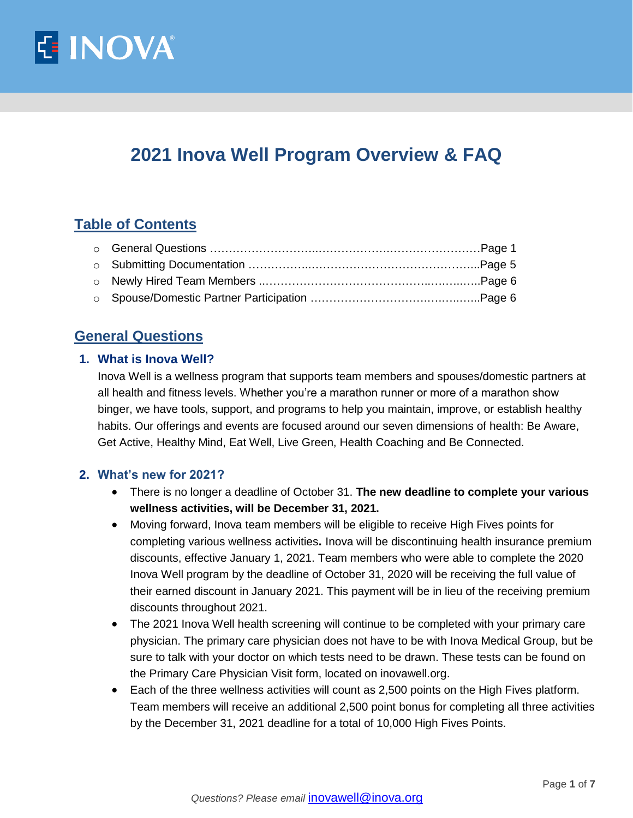

# **2021 Inova Well Program Overview & FAQ**

# **Table of Contents**

# **General Questions**

## **1. What is Inova Well?**

Inova Well is a wellness program that supports team members and spouses/domestic partners at all health and fitness levels. Whether you're a marathon runner or more of a marathon show binger, we have tools, support, and programs to help you maintain, improve, or establish healthy habits. Our offerings and events are focused around our seven dimensions of health: Be Aware, Get Active, Healthy Mind, Eat Well, Live Green, Health Coaching and Be Connected.

#### **2. What's new for 2021?**

- There is no longer a deadline of October 31. **The new deadline to complete your various wellness activities, will be December 31, 2021.**
- Moving forward, Inova team members will be eligible to receive High Fives points for completing various wellness activities**.** Inova will be discontinuing health insurance premium discounts, effective January 1, 2021. Team members who were able to complete the 2020 Inova Well program by the deadline of October 31, 2020 will be receiving the full value of their earned discount in January 2021. This payment will be in lieu of the receiving premium discounts throughout 2021.
- The 2021 Inova Well health screening will continue to be completed with your primary care physician. The primary care physician does not have to be with Inova Medical Group, but be sure to talk with your doctor on which tests need to be drawn. These tests can be found on the Primary Care Physician Visit form, located on inovawell.org.
- Each of the three wellness activities will count as 2,500 points on the High Fives platform. Team members will receive an additional 2,500 point bonus for completing all three activities by the December 31, 2021 deadline for a total of 10,000 High Fives Points.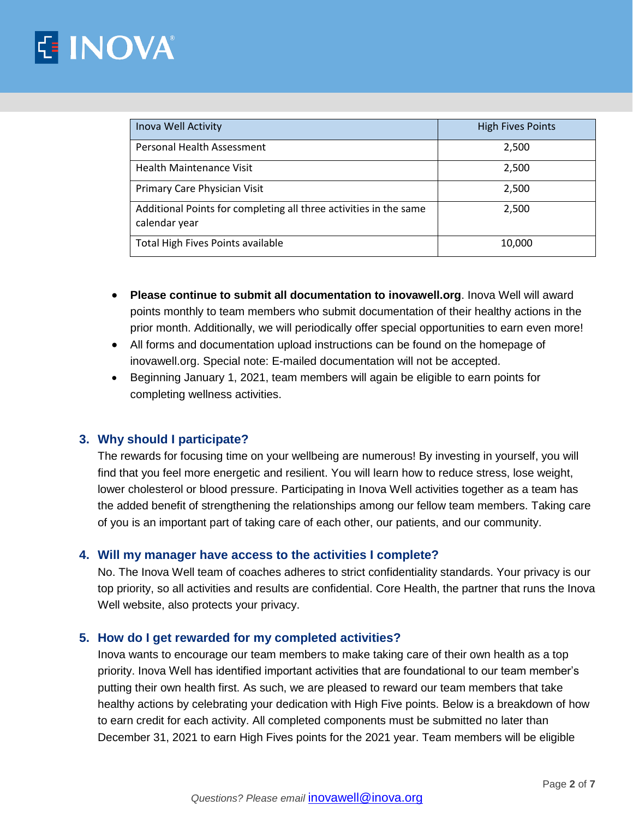# **E INOVA**

| Inova Well Activity                                                                | <b>High Fives Points</b> |
|------------------------------------------------------------------------------------|--------------------------|
| Personal Health Assessment                                                         | 2,500                    |
| <b>Health Maintenance Visit</b>                                                    | 2,500                    |
| Primary Care Physician Visit                                                       | 2,500                    |
| Additional Points for completing all three activities in the same<br>calendar year | 2,500                    |
| Total High Fives Points available                                                  | 10,000                   |

- **Please continue to submit all documentation to inovawell.org**. Inova Well will award points monthly to team members who submit documentation of their healthy actions in the prior month. Additionally, we will periodically offer special opportunities to earn even more!
- All forms and documentation upload instructions can be found on the homepage of inovawell.org. Special note: E-mailed documentation will not be accepted.
- Beginning January 1, 2021, team members will again be eligible to earn points for completing wellness activities.

## **3. Why should I participate?**

The rewards for focusing time on your wellbeing are numerous! By investing in yourself, you will find that you feel more energetic and resilient. You will learn how to reduce stress, lose weight, lower cholesterol or blood pressure. Participating in Inova Well activities together as a team has the added benefit of strengthening the relationships among our fellow team members. Taking care of you is an important part of taking care of each other, our patients, and our community.

## **4. Will my manager have access to the activities I complete?**

No. The Inova Well team of coaches adheres to strict confidentiality standards. Your privacy is our top priority, so all activities and results are confidential. Core Health, the partner that runs the Inova Well website, also protects your privacy.

## **5. How do I get rewarded for my completed activities?**

Inova wants to encourage our team members to make taking care of their own health as a top priority. Inova Well has identified important activities that are foundational to our team member's putting their own health first. As such, we are pleased to reward our team members that take healthy actions by celebrating your dedication with High Five points. Below is a breakdown of how to earn credit for each activity. All completed components must be submitted no later than December 31, 2021 to earn High Fives points for the 2021 year. Team members will be eligible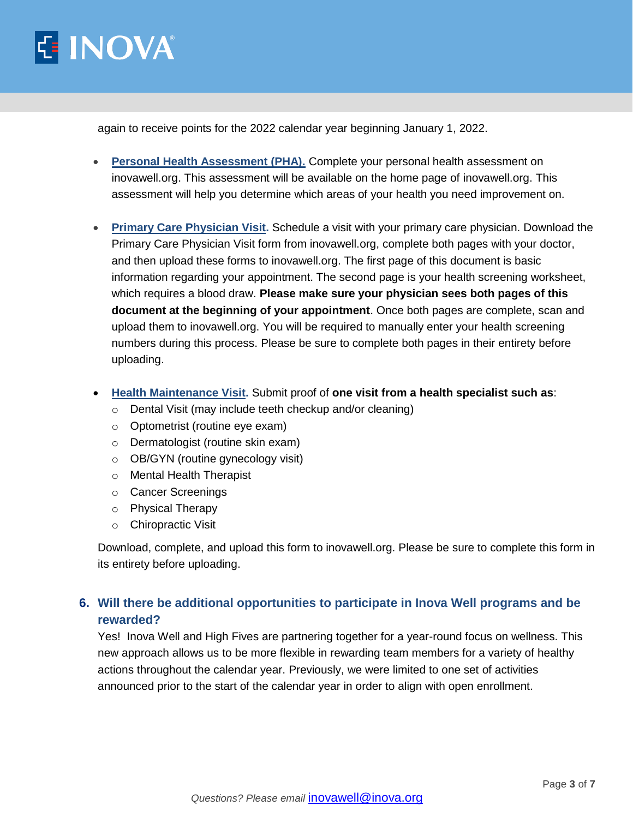

again to receive points for the 2022 calendar year beginning January 1, 2022.

- **Personal Health Assessment (PHA).** Complete your personal health assessment on inovawell.org. This assessment will be available on the home page of inovawell.org. This assessment will help you determine which areas of your health you need improvement on.
- **Primary Care Physician Visit.** Schedule a visit with your primary care physician. Download the Primary Care Physician Visit form from inovawell.org, complete both pages with your doctor, and then upload these forms to inovawell.org. The first page of this document is basic information regarding your appointment. The second page is your health screening worksheet, which requires a blood draw. **Please make sure your physician sees both pages of this document at the beginning of your appointment**. Once both pages are complete, scan and upload them to inovawell.org. You will be required to manually enter your health screening numbers during this process. Please be sure to complete both pages in their entirety before uploading.
- **Health Maintenance Visit.** Submit proof of **one visit from a health specialist such as**:
	- o Dental Visit (may include teeth checkup and/or cleaning)
	- o Optometrist (routine eye exam)
	- o Dermatologist (routine skin exam)
	- o OB/GYN (routine gynecology visit)
	- o Mental Health Therapist
	- o Cancer Screenings
	- o Physical Therapy
	- o Chiropractic Visit

Download, complete, and upload this form to inovawell.org. Please be sure to complete this form in its entirety before uploading.

## **6. Will there be additional opportunities to participate in Inova Well programs and be rewarded?**

Yes! Inova Well and High Fives are partnering together for a year-round focus on wellness. This new approach allows us to be more flexible in rewarding team members for a variety of healthy actions throughout the calendar year. Previously, we were limited to one set of activities announced prior to the start of the calendar year in order to align with open enrollment.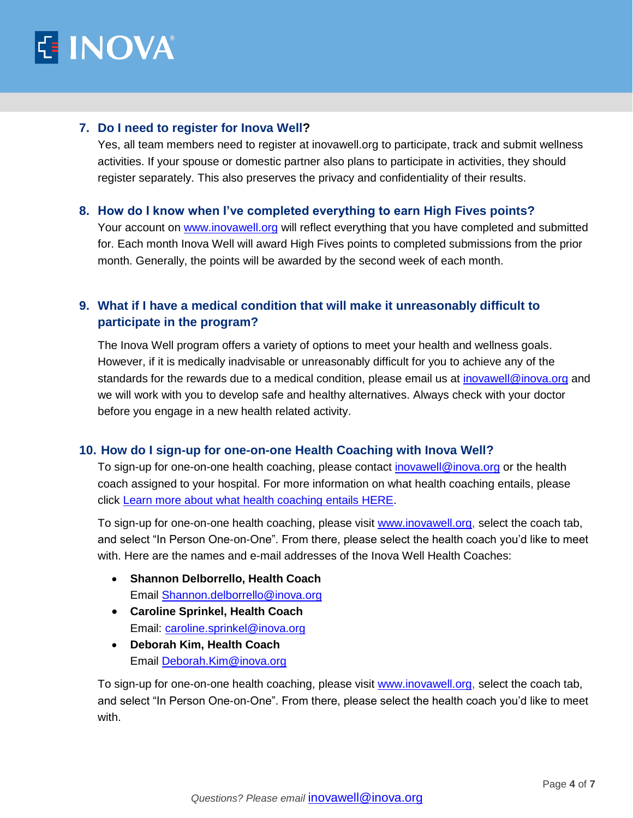

#### **7. Do I need to register for Inova Well?**

Yes, all team members need to register at inovawell.org to participate, track and submit wellness activities. If your spouse or domestic partner also plans to participate in activities, they should register separately. This also preserves the privacy and confidentiality of their results.

#### **8. How do I know when I've completed everything to earn High Fives points?**

Your account on [www.inovawell.org](http://www.inovawell.org/) will reflect everything that you have completed and submitted for. Each month Inova Well will award High Fives points to completed submissions from the prior month. Generally, the points will be awarded by the second week of each month.

## **9. What if I have a medical condition that will make it unreasonably difficult to participate in the program?**

The Inova Well program offers a variety of options to meet your health and wellness goals. However, if it is medically inadvisable or unreasonably difficult for you to achieve any of the standards for the rewards due to a medical condition, please email us at [inovawell@inova.org](mailto:inovawell@inova.org) and we will work with you to develop safe and healthy alternatives. Always check with your doctor before you engage in a new health related activity.

## **10. How do I sign-up for one-on-one Health Coaching with Inova Well?**

To sign-up for one-on-one health coaching, please contact [inovawell@inova.org](mailto:inovawell@inova.org) or the health coach assigned to your hospital. For more information on what health coaching entails, please click [Learn more about what health coaching entails HERE.](http://inovanet.net.inova.org/InovaWell/HealthCoaching)

To sign-up for one-on-one health coaching, please visit [www.inovawell.org,](http://www.inovawell.org/) select the coach tab, and select "In Person One-on-One". From there, please select the health coach you'd like to meet with. Here are the names and e-mail addresses of the Inova Well Health Coaches:

- **Shannon Delborrello, Health Coach**  Email [Shannon.delborrello@inova.org](mailto:Shannon.delborrello@inova.org)
- **Caroline Sprinkel, Health Coach**  Email: [caroline.sprinkel@inova.org](mailto:caroline.sprinkel@inova.org)
- **Deborah Kim, Health Coach** Email [Deborah.Kim@inova.org](mailto:Deborah.Kim@inova.org)

To sign-up for one-on-one health coaching, please visit [www.inovawell.org,](http://www.inovawell.org/) select the coach tab, and select "In Person One-on-One". From there, please select the health coach you'd like to meet with.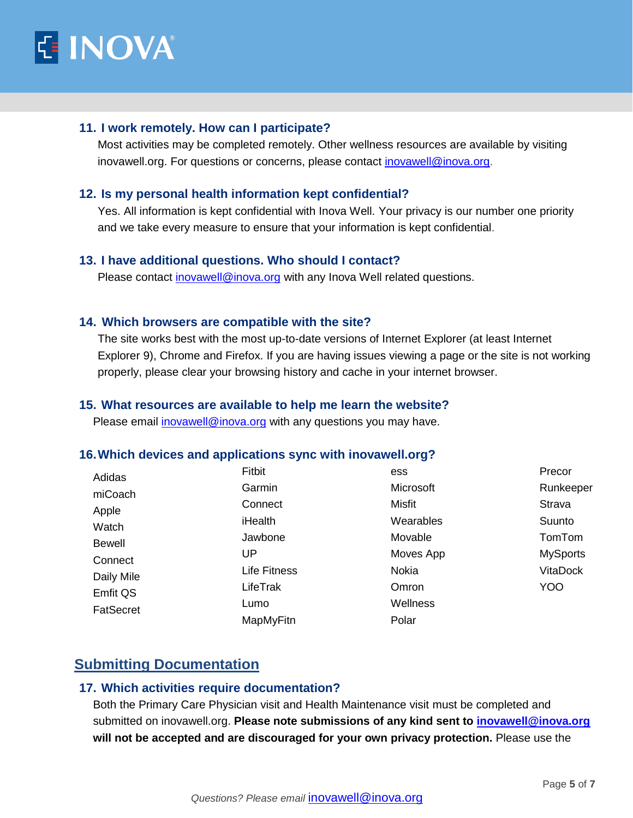

#### **11. I work remotely. How can I participate?**

Most activities may be completed remotely. Other wellness resources are available by visiting inovawell.org. For questions or concerns, please contact [inovawell@inova.org.](mailto:inovawell@inova.org)

#### **12. Is my personal health information kept confidential?**

Yes. All information is kept confidential with Inova Well. Your privacy is our number one priority and we take every measure to ensure that your information is kept confidential.

#### **13. I have additional questions. Who should I contact?**

Please contact [inovawell@inova.org](mailto:inovawell@inova.org) with any Inova Well related questions.

#### **14. Which browsers are compatible with the site?**

The site works best with the most up-to-date versions of Internet Explorer (at least Internet Explorer 9), Chrome and Firefox. If you are having issues viewing a page or the site is not working properly, please clear your browsing history and cache in your internet browser.

#### **15. What resources are available to help me learn the website?**

Please email [inovawell@inova.org](mailto:inovawell@inova.org) with any questions you may have.

#### **16.Which devices and applications sync with inovawell.org?**

| Adidas        | Fitbit       | ess           | Precor          |
|---------------|--------------|---------------|-----------------|
| miCoach       | Garmin       | Microsoft     | Runkeeper       |
| Apple         | Connect      | <b>Misfit</b> | Strava          |
| Watch         | iHealth      | Wearables     | Suunto          |
| <b>Bewell</b> | Jawbone      | Movable       | TomTom          |
| Connect       | UP           | Moves App     | <b>MySports</b> |
| Daily Mile    | Life Fitness | <b>Nokia</b>  | <b>VitaDock</b> |
| Emfit QS      | LifeTrak     | Omron         | <b>YOO</b>      |
| FatSecret     | Lumo         | Wellness      |                 |
|               | MapMyFitn    | Polar         |                 |

# **Submitting Documentation**

#### **17. Which activities require documentation?**

Both the Primary Care Physician visit and Health Maintenance visit must be completed and submitted on inovawell.org. **Please note submissions of any kind sent to [inovawell@inova.org](mailto:inovawell@inova.org) will not be accepted and are discouraged for your own privacy protection.** Please use the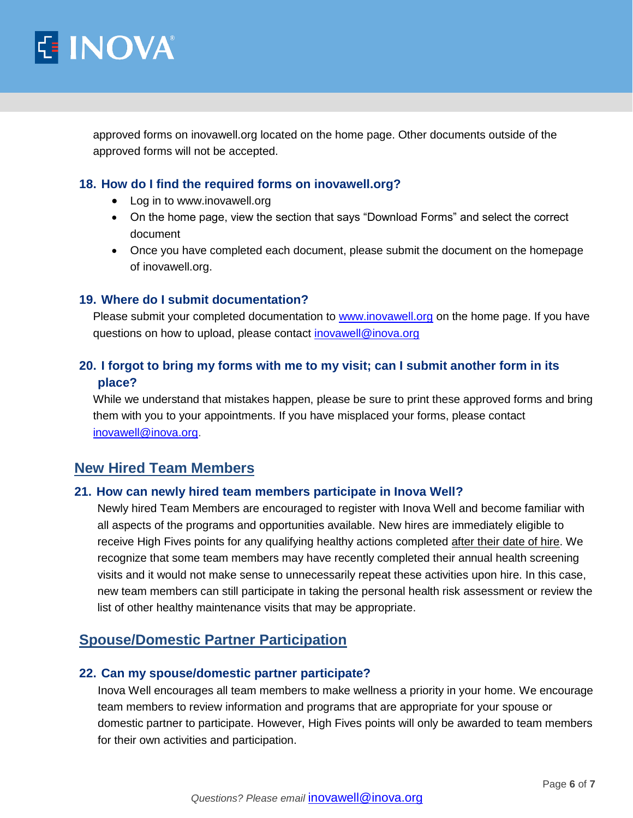

approved forms on inovawell.org located on the home page. Other documents outside of the approved forms will not be accepted.

#### **18. How do I find the required forms on inovawell.org?**

- Log in to www.inovawell.org
- On the home page, view the section that says "Download Forms" and select the correct document
- Once you have completed each document, please submit the document on the homepage of inovawell.org.

#### **19. Where do I submit documentation?**

Please submit your completed documentation to **www.inovawell.org** on the home page. If you have questions on how to upload, please contact [inovawell@inova.org](mailto:inovawell@inova.org)

## **20. I forgot to bring my forms with me to my visit; can I submit another form in its place?**

While we understand that mistakes happen, please be sure to print these approved forms and bring them with you to your appointments. If you have misplaced your forms, please contact [inovawell@inova.org.](mailto:inovawell@inova.org)

## **New Hired Team Members**

#### **21. How can newly hired team members participate in Inova Well?**

Newly hired Team Members are encouraged to register with Inova Well and become familiar with all aspects of the programs and opportunities available. New hires are immediately eligible to receive High Fives points for any qualifying healthy actions completed after their date of hire. We recognize that some team members may have recently completed their annual health screening visits and it would not make sense to unnecessarily repeat these activities upon hire. In this case, new team members can still participate in taking the personal health risk assessment or review the list of other healthy maintenance visits that may be appropriate.

## **Spouse/Domestic Partner Participation**

## **22. Can my spouse/domestic partner participate?**

Inova Well encourages all team members to make wellness a priority in your home. We encourage team members to review information and programs that are appropriate for your spouse or domestic partner to participate. However, High Fives points will only be awarded to team members for their own activities and participation.